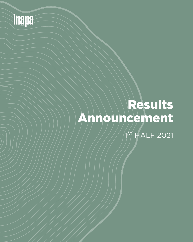

# Results Announcement

 $1<sup>5</sup>$  HALF 2021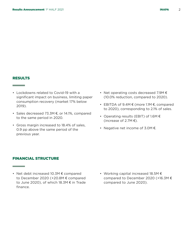### RESULTS

**The Common** 

**Contract Contract** 

- Lockdowns related to Covid-19 with a significant impact on business, limiting paper consumption recovery (market 17% below 2019).
- Sales decreased 73.3M €, or 14.1%, compared to the same period in 2020.
- Gross margin increased to 18.4% of sales, 0.9 pp above the same period of the previous year.
- Net operating costs decreased 7.9M € (10.0% reduction, compared to 2020).
- EBITDA of 9.4M € (more 1.1M €, compared to 2020), corresponding to 2.1% of sales.
- Operating results (EBIT) of 1.6M € (increase of 2.7M $\epsilon$ ).
- Negative net income of 3.0M €.

#### FINANCIAL STRUCTURE

- Net debt increased 10.3M € compared to December 2020 (+20.8M € compared to June 2020), of which 18.3M € in Trade finance.
- Working capital increased 18.5M € compared to December 2020 (+16.3M € compared to June 2020).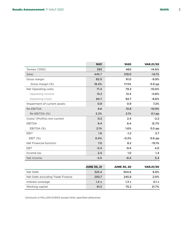|  | INAPA |  |
|--|-------|--|
|  |       |  |

|                                  | <b>1H21</b>        | <b>1H20</b>        | <b>VAR.21/20</b> |
|----------------------------------|--------------------|--------------------|------------------|
| Tonnes ('000)                    | 393                | 460                | $-14.6%$         |
| <b>Sales</b>                     | 445.7              | 519.0              | $-14.1%$         |
| Gross margin                     | 82.0               | 91.0               | $-9.9%$          |
| Gross margin (%)                 | 18.4%              | 17.5%              | $0.9$ pp         |
| Net Operating costs              | 71.4               | 79.3               | $-10.0%$         |
| Operating Income                 | 13.2               | 13.4               | $-0.8%$          |
| <b>Operating Costs</b>           | 84.7               | 92.7               | $-8.6%$          |
| Impairment of current assets     | 0.9                | O.9                | 7.2%             |
| Re-EBITDA                        | 9.6                | 10.8               | $-10.9%$         |
| Re-EBITDA (%)                    | 2.2%               | 2.1%               | $0.1$ pp         |
| Costs/ (Profits) non current     | 0.2                | 2.4                | $-2.2$           |
| <b>EBITDA</b>                    | 9.4                | 8.4                | 12.7%            |
| EBITDA (%)                       | 2.1%               | 1.6%               | $0.5$ pp         |
| <b>EBIT</b>                      | 1.6                | $-1.2$             | 2.7              |
| EBIT(%)                          | 0.4%               | $-0.2%$            | $0.6$ pp         |
| Net Financial function           | 7.0                | 8.2                | $-15.1%$         |
| <b>EBT</b>                       | $-5.4$             | $-9.4$             | 4.0              |
| Income tax                       | 2.4                | 1.0                | 1.4              |
| Net income                       | $-3.0$             | $-8.4$             | 5.4              |
|                                  |                    |                    |                  |
|                                  | <b>JUNE 30, 21</b> | <b>JUNE 30, 20</b> | <b>VAR.21/20</b> |
| Net Debt                         | 325.4              | 304.6              | 6.8%             |
| Net Debt excluding Trade Finance | 250.7              | 245.8              | 2.0%             |
| Interest coverage                | 1.4x               | 1.3x               | 0.1 x            |

91.5

75.2

21.7%

(Amounts in MILLION EUROS except when specified otherwise)

Working capital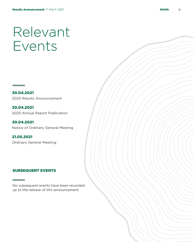# Relevant Events

30.04.2021 2020 Results Announcement

30.04.2021 2020 Annual Report Publication

30.04.2021 Notice of Ordinary General Meeting

21.05.2021 Ordinary General Meeting

### SUBSEQUENT EVENTS

No subsequent events have been recorded up to the release of this announcement.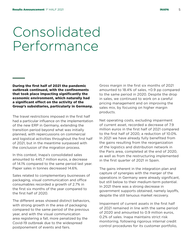## Consolidated Performance

During the first half of 2021 the pandemic outbreak continued, with the confinements that took place impacting significantly the economic environment, which naturally had a significant effect on the activity of the Group's subsidiaries, particularly in Germany.

The travel restrictions imposed in the first half had a particular influence on the implementation of the new ERP in Germany, extending the transition period beyond what was initially planned, with repercussions on commercial and logistical activities throughout the first half of 2021, but in the meantime surpassed with the conclusion of the migration process.

In this context, Inapa's consolidated sales amounted to 445.7 million euros, a decrease of 14.1% compared to the same period last year. Paper sales in tonnes decreased 14.6%.

Sales related to complementary businesses of packaging, visual communication and office consumables recorded a growth of 2.7% in the first six months of the year compared to the first half of 2020.

The different areas showed distinct behaviors, with strong growth in the area of packaging compared to the same period of the previous year, and with the visual communication area registering a fall, more penalized by the Covid-19 outbreak due to the widespread postponement of events and fairs.

Gross margin in the first six months of 2021 amounted to 18.4% of sales, +0.9 pp compared to the same period in 2020. Despite the drop in sales, we continued to work on a careful pricing management and on improving the sales mix, by focusing on higher margin products.

Net operating costs, excluding impairment of current asset, recorded a decrease of 7.9 million euros in the first half of 2021 compared to the first half of 2020, a reduction of 10.0%. In 2021 we have already fully benefited from the gains resulting from the reorganization of the logistics and distribution network in the Paris area, completed at the end of 2020, as well as from the restructuring implemented in the first quarter of 2021 in Spain.

The gains inherent in the integration plan and capture of synergies with the merger of the operations in Germany were already significant, but still below to their medium-term potential. In 2021 there was a strong decrease in government supports obtained, namely layoffs, despite the still tenuous market recovery.

Impairment of current assets in the first half of 2021 remained in line with the same period of 2020 and amounted to 0.9 million euros, 0.2% of sales. Inapa maintains strict risk monitoring, following rigorous internal credit control procedures for its customer portfolio,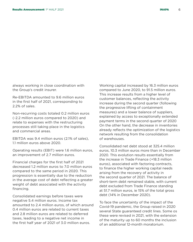always working in close coordination with the Group's credit insurer.

Re-EBITDA amounted to 9.6 million euros in the first half of 2021, corresponding to 2.2% of sales.

Non-recurring costs totaled 0.2 million euros (-2.2 million euros compared to 2020) and relate to expenses with the restructuring processes still taking place in the logistics and commercial areas.

EBITDA was 9.4 million euros (2.1% of sales), 1.1 million euros above 2020.

Operating results (EBIT) were 1.6 million euros, an improvement of 2.7 million euros.

Financial charges for the first half of 2021 decreased 1.2 million euros to 7.0 million euros compared to the same period in 2020. This progression is essentially due to the reduction in the average cost of debt reflecting a greater weight of debt associated with the activity financing.

Consolidated earnings before taxes were negative 5.4 million euros. Income tax amounted to 2.4 million euros, of which around 0.4 million euros are related to current taxes and 2.8 million euros are related to deferred taxes, leading to a negative net income in the first half year of 2021 of 3.0 million euros.

Working capital increased by 16.3 million euros compared to June 2020, to 91.5 million euros. This increase results from a higher level of customer balances, reflecting the activity increase during the second quarter (following the progressive lifting of containment measures) and a lower balance of suppliers, explained by access to exceptionally extended payment terms in the second quarter of 2020 On the other hand, the decrease in inventories already reflects the optimization of the logistics network resulting from the consolidation of warehouses.

Consolidated net debt stood at 325.4 million euros, 10.3 million euros more than in December 2020. This evolution results essentially from the increase in Trade Finance (+18.3 million euros), associated with factoring contracts, to finance the higher working capital needs arising from the recovery of activity in the second quarter of 2021. The balance of short-term debt remained stable, with current debt excluded from Trade Finance standing at 51.7 million euros, ie 15% of the total gross debt (14% in December 2020).

To face the uncertainty of the impact of the Covid-19 pandemic, the Group raised in 2020 several State guaranteed credit lines. Some os these were revised in 2021, with the extension of the maturity up to 60 months the inclusion of an additional 12-month moratorium.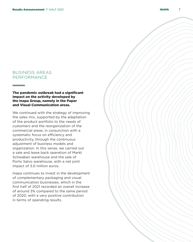## BUSINESS AREAS PERFORMANCE

#### The pandemic outbreak had a significant impact on the activity developed by the Inapa Group, namely in the Paper and Visual Communication areas.

We continued with the strategy of improving the sales mix, supported by the adaptation of the product portfolio to the needs of customers and the reorganization of the commercial areas, in conjunction with a systematic focus on efficiency and productivity, through the continuous adjustment of business models and organization. In this sense, we carried out a sale and lease back operation of Markt Schwaben warehouse and the sale of Porto Salvo warehouse, with a net joint impact of 3.0 million euros.

Inapa continues to invest in the development of complementary packaging and visual communication businesses, which in the first half of 2021 recorded an overall increase of around 3% compared to the same period of 2020, with a very positive contribution in terms of operating results.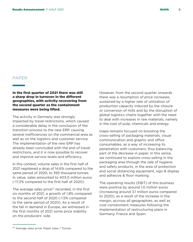### PAPER

In the first quarter of 2021 there was still a sharp drop in turnover in the different geographies, with activity recovering from the second quarter as the containment measures were being lifted.

The activity in Germany was strongly impacted by travel restrictions, which caused a considerable delay in the conclusion of the transition process to the new ERP, causing several inefficiencies on the commercial area as well as on the logistics and customer service. The implementation of the new ERP has already been concluded with the end of travel restrictions, and it is now possible to recover and improve service levels and efficiency.

In this context, volume sales in the first half of 2021 registered a drop of 14.6% compared to the same period of 2020, to 393 thousand tonnes. In value, sales amounted to 403.0 million euros (-17.2% compared to the first half of 2020).

The average sales price $(1)$  recorded, in the first six months of 2021, a growth of 1.8% compared to the second half of 2020 (-1.5% compared to the same period of 2020). As a result of the fall in demand in Europe, we witnessed in the first months of 2021 some price stability on the producers' side.

However, from the second quarter onwards there was a resumption of price increases, sustained by a higher rate of utilization of production capacity induced by the closure or conversion of mills and by the disruption of global logistics chains together with the need to deal with increases in raw materials, namely in the cost of pulp, chemicals and energy.

Inapa remains focused on boosting the cross-selling of packaging materials, visual communication and graphic and office consumables, as a way of increasing its penetration with customers, thus balancing part of the decrease in paper. In this sense, we continued to explore cross-selling in the packaging area through the sale of hygiene and safety products, in the area of protection and social distancing equipment, sign & display and adhesive & floor marking.

The operating results (EBIT) of this business were positive by around 1.0 million euros (increasing around 3.1 million euros compared to 2020), as a result of the increase in the margin, accross all geographies, as well as cost containment measures following the implementation of restructuring plans in Germany, France and Spain.

<sup>(1)</sup> Average sales price: Paper sales / Tonnes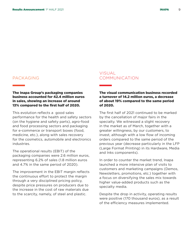## PACKAGING

#### The Inapa Group's packaging companies business accounted for 42.4 million euros in sales, showing an increase of around 13% compared to the first half of 2020.

This evolution reflects a good sales performance for the health and safety sectors (on the hygiene and safety parts), agro-food and food processing sectors and packaging for e-commerce or transport boxes (food, medicine, etc.), along with sales recovery for the cosmetics, automobile and electronics industries.

The operational results (EBIT) of the packaging companies were 2.6 million euros, representing 6.2% of sales (1.8 million euros and 4.7% in the same period of 2020).

The improvement in the EBIT margin reflects the continuous effort to protect the margin through a very disciplined pricing policy, despite price pressures on producers due to the increase in the cost of raw materials due to the scarcity, namely, of steel and plastic.

### **VISUAL** COMMUNICATION

#### The visual communication business recorded a turnover of 14.2 million euros, a decrease of about 19% compared to the same period of 2020.

The first half of 2021 continued to be marked by the cancellation of major fairs in the specialty. We witnessed a slight recovery in the market as of March, together with a greater willingness, by our customers, to invest, although with a low flow of incoming orders compared to the same period of the previous year (decrease particularly in the LFP (Large Format Printing) in its Hardware, Media and Inks components).

In order to counter the market trend, Inapa launched a more intensive plan of visits to customers and marketing campaigns (Demos, Newsletters, promotions, etc.) together with a focus on diversifying the sales mix towards higher value-added products such as the specialty media.

Despite the drop in activity, operating results were positive (170 thousand euros), as a result of the efficiency measures implemented.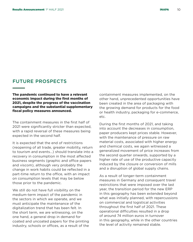## FUTURE PROSPECTS

The pandemic continued to have a relevant economic impact during the first months of 2021, despite the progress of the vaccination campaigns and the substantial supplementary fiscal policy measures announced.

The containment measures in the first half of 2021 were significantly stricter than expected, with a rapid reversal of these measures being expected in the second half.

It is expected that the end of restrictions (reopening of all trade, greater mobility, return to tourism and events...) should translate into a recovery in consumption in the most affected business segments (graphic and office papers and viscom), although very probably the change in work habits could be reflected in a part-time return to the office, with an impact on consumption levels that may be below those prior to the pandemic.

We still do not have full visibility on the medium-term impact of the pandemic in the sectors in which we operate, and we must anticipate the maintenance of the digitalization trend that has been felt. In the short term, we are witnessing, on the one hand, a general drop in demand for coated and uncoated papers for the printing industry, schools or offices, as a result of the

containment measures implemented, on the other hand, unprecedented opportunities have been created in the area of packaging with the growing demand for products for the food or health industry, packaging for e-commerce, etc.

During the first months of 2021, and taking into account the decreases in consumption, paper producers kept prices stable. However, with the maintenance of pressure on raw material costs, associated with higher energy and chemical costs, we again witnessed a generalized movement of price increases from the second quarter onwards, supported by a higher rate of use of the productive capacity induced by the closure or conversion of mills and a disruption of global supply chains.

As a result of longer-term containment measures in Germany and consequent travel restrictions that were imposed over the last year, the transition period for the new ERP in this geography has been extended beyond what was initially planned, with repercussions on commercial and logistical activities throughout the first half of 2021. These operational difficulties resulted in a drop of around 74 million euros in turnover in this geography, while in the other countries the level of activity remained stable.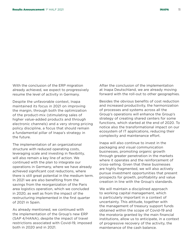With the conclusion of the ERP migration already achieved, we expect to progressively resume the level of activity in Germany.

Despite the unfavorable context, Inapa maintained its focus in 2021 on improving the margin, through both the optimization of the product-mix (stimulating sales of higher value-added products and through electronic channels) and a very strong pricing policy discipline, a focus that should remain a fundamental pillar of Inapa's strategy in the future.

The implementation of an organizational structure with reduced operating costs, leveraging scale and investing in flexibility, will also remain a key line of action. We continued with the plan to integrate our operations in Germany, where we have already achieved significant cost reductions, where there is still great potential in the medium term. In 2021 we are also benefiting from the savings from the reorganization of the Paris area logistics operation, which we concluded in 2020, as well as from the impact of the restructuring implemented in the first quarter of 2021 in Spain.

As already mentioned, we continued with the implementation of the Group's new ERP (SAP 4/HANA), despite the impact of travel restrictions associated with Covid-19, imposed both in 2020 and in 2021.

After the conclusion of the implementation at Inapa Deutschland, we are already moving forward with the roll-out to other geographies.

Besides the obvious benefits of cost reduction and increased productivity, the harmonization of processes and systems across all the Group's operations will enhance the Group's strategy of creating shared centers for some functions, which started at the end of 2020. To notice also the transformational impact on our ecosystem of IT applications, reducing their complexity and maintenance effort.

Inapa will also continue to invest in the packaging and visual communication businesses, promoting organic growth through greater penetration in the markets where it operates and the reinforcement of cross-selling. Given that these businesses are highly fragmented, we will also actively pursue investment opportunities that present prospects for growth, profitability and value creation in line with the Group's standards.

We will maintain a disciplined approach to working capital management, which is particularly important in a context of uncertainty. This attitude, together with the management of treasury support funds obtained within the scope of Covid-19 and the moratoria granted by the main financial institutions, allow us to anticipate, in a context of progressive recovery of the activity, the maintenance of the cash balance.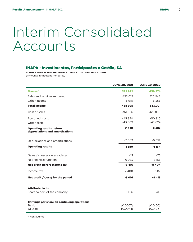# Interim Consolidated Accounts

## INAPA - Investimentos, Participações e Gestão, SA

CONSOLIDATED INCOME STATEMENT AT JUNE 30, 2021 AND JUNE 30, 2020 (Amounts in thousands of Euros)

|                                                                    | <b>JUNE 30, 2021</b> | <b>JUNE 30, 2020</b> |
|--------------------------------------------------------------------|----------------------|----------------------|
| <b>Tonnes*</b>                                                     | 392 922              | 459 974              |
| Sales and services rendered                                        | 453 015              | 526 943              |
| Other income                                                       | 5 910                | 6 2 5 8              |
| <b>Total income</b>                                                | 458 925              | 533.201              |
| Cost of sales                                                      | $-361086$            | $-428880$            |
| Personnel costs                                                    | $-45350$             | $-50310$             |
| Other costs                                                        | $-43039$             | $-45624$             |
| <b>Operating results before</b><br>depreciations and amortizations | 9449                 | 8388                 |
| Depreciations and amortizations                                    | $-7869$              | $-9552$              |
| <b>Operating results</b>                                           | 1580                 | $-1164$              |
| Gains / (Losses) in associates                                     | $-13$                | $-75$                |
| Net financial function                                             | $-6.983$             | $-8165$              |
| Net profit before income tax                                       | $-5416$              | -9404                |
| Income tax                                                         | 2 4 0 0              | 987                  |
| Net profit $/$ (loss) for the period                               | $-3016$              | $-8416$              |
| <b>Attributable to:</b>                                            |                      |                      |
| Shareholders of the company                                        | $-3016$              | $-8416$              |
| Earnings per share on continuing operations                        |                      |                      |
| <b>Basic</b><br>Diluted                                            | (0.0057)<br>(0.0044) | (0.0160)<br>(0.0123) |

\* Non audited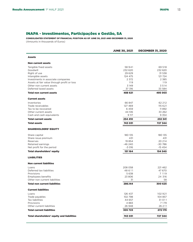## INAPA - Investimentos, Participações e Gestão, SA

CONSOLIDATED STATEMENT OF FINANCIAL POSITION AS OF JUNE 30, 2021 AND DECEMBER 31, 2020 (Amounts in thousands of Euros)

|                                                   | <b>JUNE 30, 2021</b> | <b>DECEMBER 31, 2020</b> |
|---------------------------------------------------|----------------------|--------------------------|
| <b>Assets</b>                                     |                      |                          |
| <b>Non current assets</b>                         |                      |                          |
| Tangible fixed assets                             | 58941                | 69 518                   |
| Goodwill                                          | 232 620              | 232 620                  |
| Right of use                                      | 29 6 29              | 31 538                   |
| Intangible assets                                 | 124 475              | 121 724                  |
| Investments in associate companies                | 2 3 7 2              | 2 3 8 5                  |
| Assets at fair value through profit or loss       | 119                  | 119                      |
| Other non current assets                          | 3 1 4 9              | 3514                     |
| Deferred taxed assets                             | 37 316               | 33 584                   |
| <b>Total non current assets</b>                   | 488 621              | 495 003                  |
| <b>Current assets</b>                             |                      |                          |
| Inventories                                       | 66 847               | 62 212                   |
| Trade receivables                                 | 127 469              | 115 6 21                 |
| Tax to be recovered                               | 6459                 | 11892                    |
| Other current assets                              | 44 516               | 33 262                   |
| Cash and cash equivalents                         | 9 117                | 9 3 5 4                  |
| <b>Total current assets</b>                       | 254 410              | 232 341                  |
| <b>Total assets</b>                               | 743 031              | 727 344                  |
| <b>SHAREHOLDERS' EQUITY</b>                       |                      |                          |
| Share capital                                     | 180 135              | 180 135                  |
| Share issue premium                               | 431                  | 431                      |
| Reserves                                          | 19 854               | 20 214                   |
| Retained earnings                                 | $-46240$             | $-30786$                 |
| Net profit for the period                         | $-3016$              | $-154$                   |
| <b>Total shareholders' equity</b>                 | 151 164              | 154 540                  |
| <b>LIABILITIES</b>                                |                      |                          |
| <b>Non current liabilities</b>                    |                      |                          |
| Loans                                             | 208 058              | 221462                   |
| Deferred tax liabilities                          | 48611                | 47 670                   |
| Provisions                                        | 5638                 | 7 1 1 9                  |
| <b>Employees benefits</b>                         | 23 806               | 24 316                   |
| Other non current liabilities                     | 31                   | 58                       |
| <b>Total non current liabilities</b>              | 286.144              | 300 625                  |
| <b>Current liabilities</b>                        |                      |                          |
| Loans                                             | 126 437              | 102 921                  |
| Trade payables                                    | 102 798              | 104 857                  |
| Tax liabilities                                   | 44 657               | 31011                    |
| Provisions                                        | 4883                 | 7 1 7 9                  |
| Other current liabilities                         | 26 948               | 26 2 11                  |
| <b>Total current liabilities</b>                  | 305723               | 272 179                  |
| <b>Total shareholders' equity and liabilities</b> | 743 031              | 727 344                  |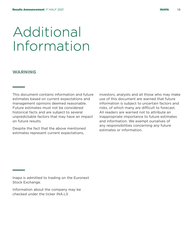# Additional Information

### WARNING

**State State** 

This document contains information and future estimates based on current expectations and management opinions deemed reasonable. Future estimates must not be considered historical facts and are subject to several unpredictable factors that may have an impact on future results.

Despite the fact that the above mentioned estimates represent current expectations,

investors, analysts and all those who may make use of this document are warned that future information is subject to uncertain factors and risks, of which many are difficult to forecast. All readers are warned not to attribute an inappropriate importance to future estimates and information. We exempt ourselves of any responsibilities concerning any future estimates or information.

Inapa is admitted to trading on the Euronext Stock Exchange.

Information about the company may be checked under the ticker INA LS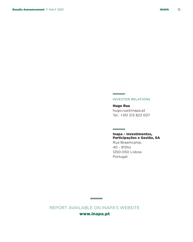#### INVESTOR RELATIONS

**Contract Contract** 

**Contract Contract** 

Hugo Rua hugo.rua@inapa.pt Tel.: +351 213 823 007

#### Inapa – Investimentos, Participações e Gestão, SA

Rua Braamcamp, 40 - 9ºDto 1250-050 Lisboa Portugal

REPORT AVAILABLE ON INAPA'S WEBSITE www.inapa.pt

**Contract Contract**